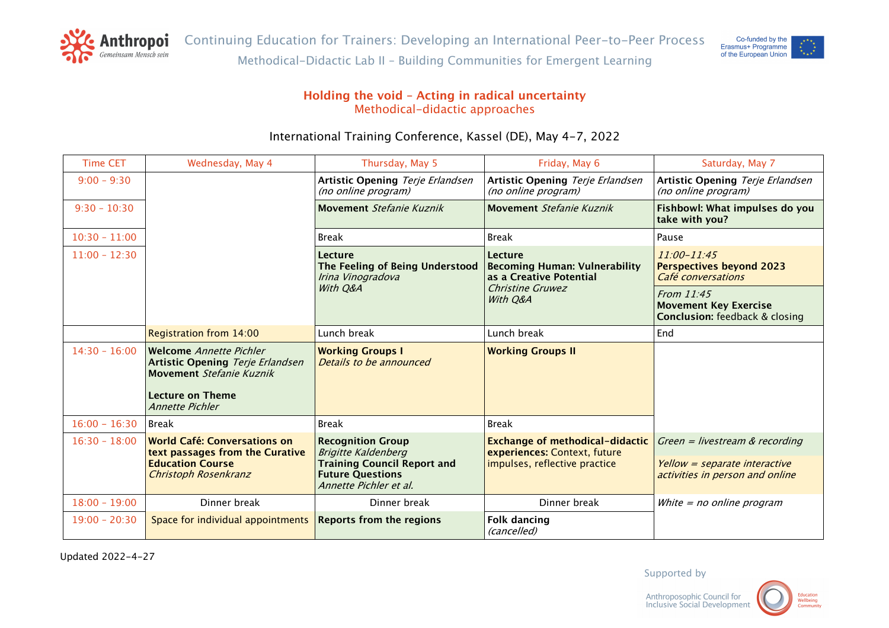



## **Holding the void – Acting in radical uncertainty** Methodical-didactic approaches

# International Training Conference, Kassel (DE), May 4-7, 2022

| <b>Time CET</b> | Wednesday, May 4                                                                                                                                           | Thursday, May 5                                                                         | Friday, May 6                                                                                              | Saturday, May 7                                                                     |
|-----------------|------------------------------------------------------------------------------------------------------------------------------------------------------------|-----------------------------------------------------------------------------------------|------------------------------------------------------------------------------------------------------------|-------------------------------------------------------------------------------------|
| $9:00 - 9:30$   |                                                                                                                                                            | Artistic Opening Terje Erlandsen<br>(no online program)                                 | Artistic Opening Terje Erlandsen<br>(no online program)                                                    | Artistic Opening Terje Erlandsen<br>(no online program)                             |
| $9:30 - 10:30$  |                                                                                                                                                            | Movement Stefanie Kuznik                                                                | Movement Stefanie Kuznik                                                                                   | Fishbowl: What impulses do you<br>take with you?                                    |
| $10:30 - 11:00$ |                                                                                                                                                            | <b>Break</b>                                                                            | <b>Break</b>                                                                                               | Pause                                                                               |
| $11:00 - 12:30$ |                                                                                                                                                            | Lecture<br>The Feeling of Being Understood<br>Irina Vinogradova                         | Lecture<br><b>Becoming Human: Vulnerability</b><br>as a Creative Potential<br>Christine Gruwez<br>With O&A | $11:00 - 11:45$<br><b>Perspectives beyond 2023</b><br>Café conversations            |
|                 |                                                                                                                                                            | With Q&A                                                                                |                                                                                                            | From 11:45<br><b>Movement Key Exercise</b><br><b>Conclusion:</b> feedback & closing |
|                 | Registration from 14:00                                                                                                                                    | Lunch break                                                                             | Lunch break                                                                                                | End                                                                                 |
| $14:30 - 16:00$ | <b>Welcome Annette Pichler</b><br><b>Artistic Opening Terje Erlandsen</b><br>Movement Stefanie Kuznik<br><b>Lecture on Theme</b><br><b>Annette Pichler</b> | <b>Working Groups I</b><br>Details to be announced                                      | <b>Working Groups II</b>                                                                                   |                                                                                     |
| $16:00 - 16:30$ | Break                                                                                                                                                      | <b>Break</b>                                                                            | <b>Break</b>                                                                                               |                                                                                     |
| $16:30 - 18:00$ | <b>World Café: Conversations on</b><br>text passages from the Curative                                                                                     | <b>Recognition Group</b><br><b>Brigitte Kaldenberg</b>                                  | <b>Exchange of methodical-didactic</b><br>experiences: Context, future<br>impulses, reflective practice    | Green = livestream & recording                                                      |
|                 | <b>Education Course</b><br>Christoph Rosenkranz                                                                                                            | <b>Training Council Report and</b><br><b>Future Questions</b><br>Annette Pichler et al. |                                                                                                            | Yellow = separate interactive<br>activities in person and online                    |
| $18:00 - 19:00$ | Dinner break                                                                                                                                               | Dinner break                                                                            | Dinner break                                                                                               | White = no online program                                                           |
| $19:00 - 20:30$ | Space for individual appointments                                                                                                                          | <b>Reports from the regions</b>                                                         | <b>Folk dancing</b><br>(cancelled)                                                                         |                                                                                     |

Updated 2022-4-27

Supported by

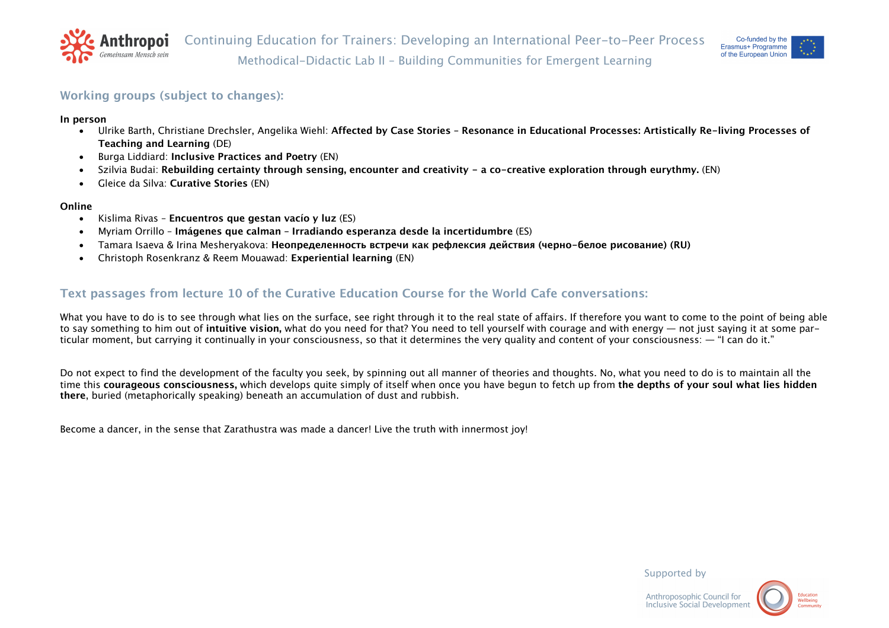



### **Working groups (subject to changes):**

**In person**

- Ulrike Barth, Christiane Drechsler, Angelika Wiehl: **Affected by Case Stories – Resonance in Educational Processes: Artistically Re-living Processes of Teaching and Learning** (DE)
- Burga Liddiard: **Inclusive Practices and Poetry** (EN)
- Szilvia Budai: **Rebuilding certainty through sensing, encounter and creativity - a co-creative exploration through eurythmy.** (EN)
- Gleice da Silva: **Curative Stories** (EN)

### **Online**

- Kislima Rivas **Encuentros que gestan vacío y luz** (ES)
- Myriam Orrillo **Imágenes que calman – Irradiando esperanza desde la incertidumbre** (ES)
- Tamara Isaeva & Irina Mesheryakova: **Неопределенность встречи как рефлексия действия (черно-белое рисование) (RU)**
- Christoph Rosenkranz & Reem Mouawad: **Experiential learning** (EN)

## **Text passages from lecture 10 of the Curative Education Course for the World Cafe conversations:**

What you have to do is to see through what lies on the surface, see right through it to the real state of affairs. If therefore you want to come to the point of being able to say something to him out of **intuitive vision,** what do you need for that? You need to tell yourself with courage and with energy — not just saying it at some particular moment, but carrying it continually in your consciousness, so that it determines the very quality and content of your consciousness: — "I can do it."

Do not expect to find the development of the faculty you seek, by spinning out all manner of theories and thoughts. No, what you need to do is to maintain all the time this **courageous consciousness,** which develops quite simply of itself when once you have begun to fetch up from **the depths of your soul what lies hidden there**, buried (metaphorically speaking) beneath an accumulation of dust and rubbish.

Become a dancer, in the sense that Zarathustra was made a dancer! Live the truth with innermost joy!

Supported by